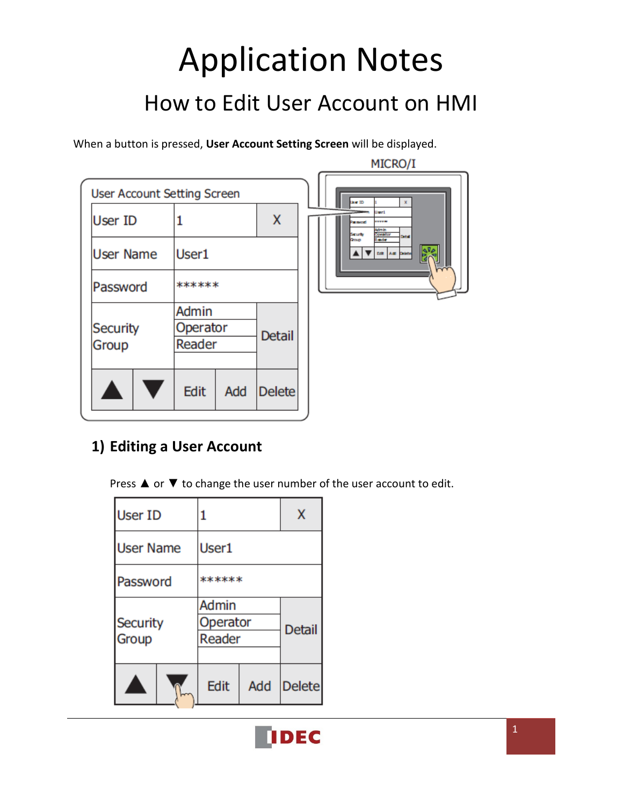# Application Notes How to Edit User Account on HMI

When a button is pressed, **User Account Setting Screen** will be displayed.

|                                    |                             |               | MICRO/I                                                      |
|------------------------------------|-----------------------------|---------------|--------------------------------------------------------------|
| <b>User Account Setting Screen</b> |                             |               | <b>Jaw ID</b><br>$\mathbf x$                                 |
| <b>User ID</b>                     |                             | Χ             | ll wr 1<br><br>Patrovori<br>dmin<br><b>Speator</b><br>Searty |
| <b>User Name</b>                   | User1                       |               | Detail<br>Group<br><b>Inde</b><br><b>Ddt</b> Add Dolcte      |
| Password                           | ******                      |               |                                                              |
| <b>Security</b><br>Group           | Admin<br>Operator<br>Reader | <b>Detail</b> |                                                              |
|                                    | <b>Edit</b><br>Add          | <b>Delete</b> |                                                              |

## **1) Editing a User Account**

Press ▲ or ▼ to change the user number of the user account to edit.

| User ID          |  |          |              | x             |
|------------------|--|----------|--------------|---------------|
| <b>User Name</b> |  | User1    |              |               |
| Password         |  | ******   |              |               |
|                  |  |          | <b>Admin</b> |               |
| Security         |  | Operator |              | <b>Detail</b> |
| Group            |  | Reader   |              |               |
|                  |  |          |              |               |
|                  |  | Edit     | Add          | <b>Delete</b> |

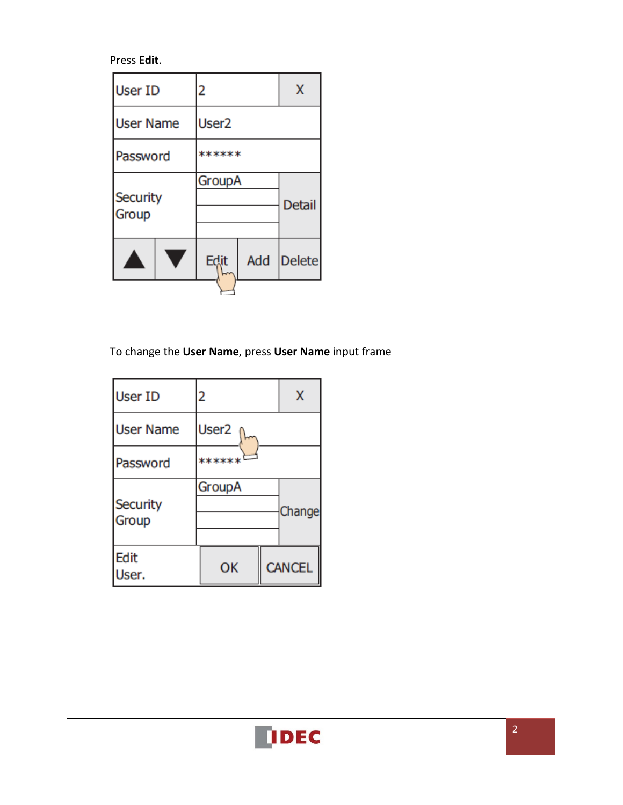Press **Edit**.

| <b>User ID</b>           |  | 2                 | х   |               |
|--------------------------|--|-------------------|-----|---------------|
| <b>User Name</b>         |  | User <sub>2</sub> |     |               |
| Password                 |  | ******            |     |               |
| <b>Security</b><br>Group |  | GroupA            |     | <b>Detail</b> |
|                          |  | Edit              | Add | <b>Delete</b> |
|                          |  |                   |     |               |

To change the **User Name**, press **User Name** input frame

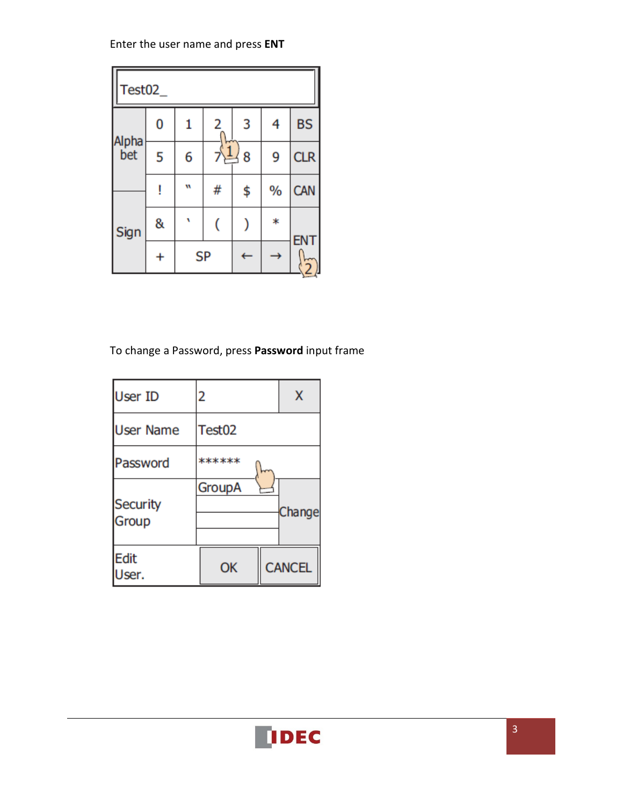Enter the user name and press **ENT** 

| Test02 |   |   |           |              |               |                 |  |
|--------|---|---|-----------|--------------|---------------|-----------------|--|
| Alpha  | 0 |   | 2         | 3            | 4             | <b>BS</b>       |  |
| bet    | 5 | 6 |           | 8            | 9             | <b>CLR</b>      |  |
|        | ļ | W | #         | \$           | $\frac{0}{0}$ | CAN             |  |
| Sign   | & | ٧ |           |              | ∗             | EN <sup>-</sup> |  |
|        |   |   | <b>SP</b> | $\leftarrow$ |               |                 |  |

### To change a Password, press **Password** input frame

| <b>User ID</b>           | 2      | х             |
|--------------------------|--------|---------------|
| <b>User Name</b>         | Test02 |               |
| Password                 | ****** |               |
| <b>Security</b><br>Group | GroupA | Change        |
| <b>Edit</b><br>User.     | ОК     | <b>CANCEL</b> |

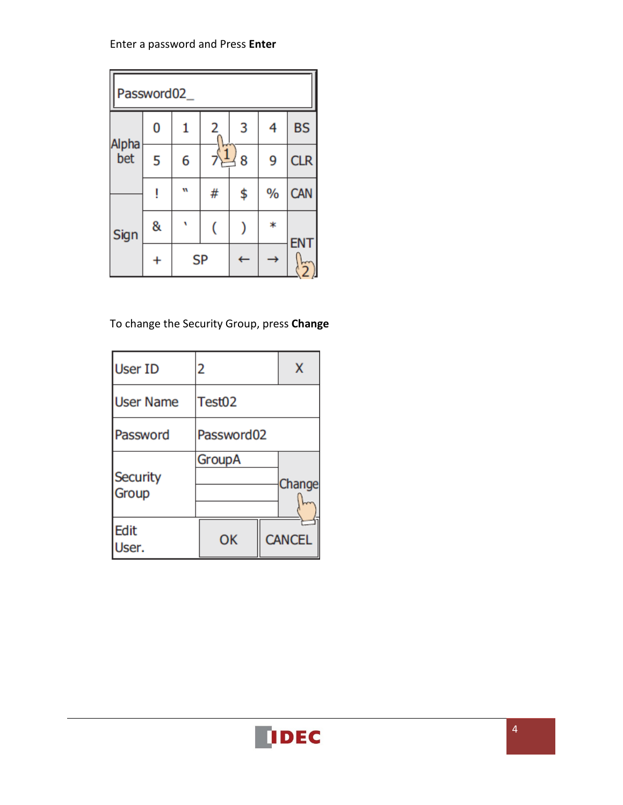Enter a password and Press **Enter**

| Password02_ |   |   |            |    |      |                 |
|-------------|---|---|------------|----|------|-----------------|
| Alpha       | 0 |   | 2          | 3  | 4    | <b>BS</b>       |
| bet         | 5 | 6 | $\sqrt{1}$ | 8  | 9    | <b>CLR</b>      |
|             |   | W | #          | \$ | $\%$ | <b>CAN</b>      |
| Sign        | & | ٦ |            |    | ∗    | EN <sub>1</sub> |
|             |   |   | <b>SP</b>  |    |      | $\tilde{2}$     |

To change the Security Group, press **Change** 

| <b>User ID</b>    | 2          | x             |
|-------------------|------------|---------------|
| <b>User Name</b>  | Test02     |               |
| Password          | Password02 |               |
| Security<br>Group | GroupA     | Change        |
| Edit<br>Jser.     | ОK         | <b>CANCEL</b> |

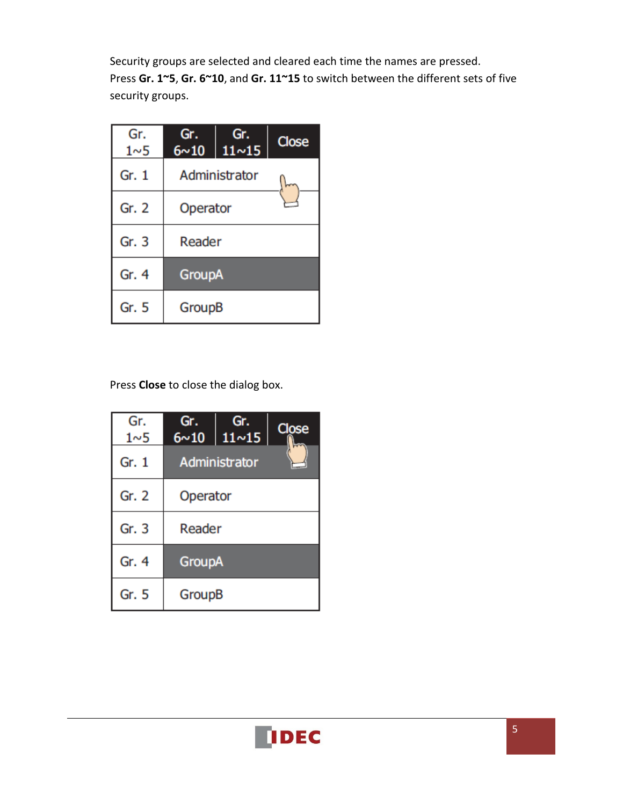Security groups are selected and cleared each time the names are pressed. Press **Gr. 1~5**, **Gr. 6~10**, and **Gr. 11~15** to switch between the different sets of five security groups.

| Gr.<br>1~5 | Gr.<br>$6 - 10$ | Gr.<br>11~15  | Close |
|------------|-----------------|---------------|-------|
| Gr. 1      |                 | Administrator |       |
| Gr. 2      | Operator        |               |       |
| Gr.3       | Reader          |               |       |
| Gr.4       | <b>GroupA</b>   |               |       |
| Gr. 5      | GroupB          |               |       |

Press **Close** to close the dialog box.

| Gr.<br>1 <sub>~</sub> 5 | Gr.<br>Gr.<br>Close<br>11~15<br>$6 \sim 10$ |  |  |  |
|-------------------------|---------------------------------------------|--|--|--|
| Gr. 1                   | Administrator                               |  |  |  |
| Gr. 2                   | Operator                                    |  |  |  |
| Gr.3                    | Reader                                      |  |  |  |
| Gr. 4                   | <b>GroupA</b>                               |  |  |  |
| Gr. 5                   | GroupB                                      |  |  |  |

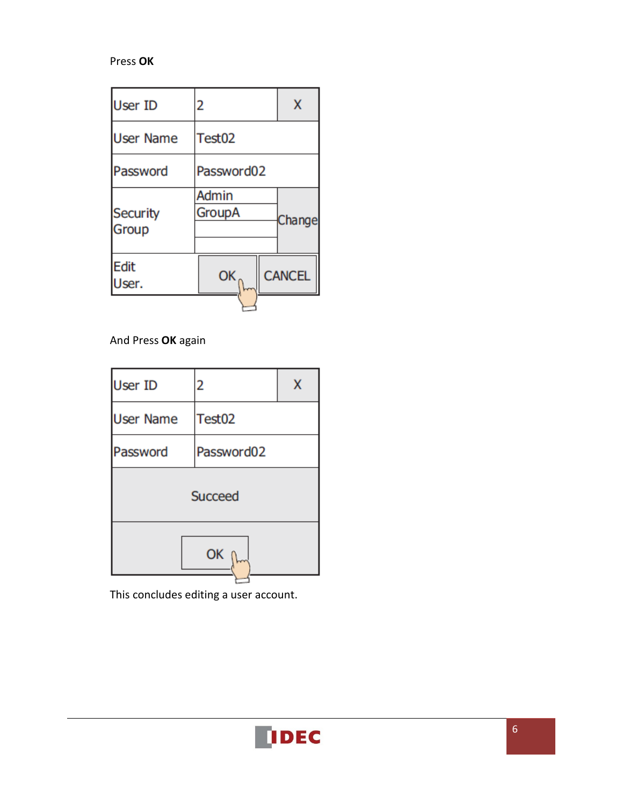#### Press **OK**

| <b>User ID</b>    | 2               | х             |
|-------------------|-----------------|---------------|
| <b>User Name</b>  | Test02          |               |
| Password          | Password02      |               |
| Security<br>Group | Admin<br>GroupA | Change        |
| Edit<br>Jser.     | ОК              | <b>CANCEL</b> |

And Press **OK** again

| <b>User ID</b>   | 2              |  |  |  |  |  |
|------------------|----------------|--|--|--|--|--|
| <b>User Name</b> | Test02         |  |  |  |  |  |
| Password         | Password02     |  |  |  |  |  |
|                  | <b>Succeed</b> |  |  |  |  |  |
| ОК               |                |  |  |  |  |  |

This concludes editing a user account.

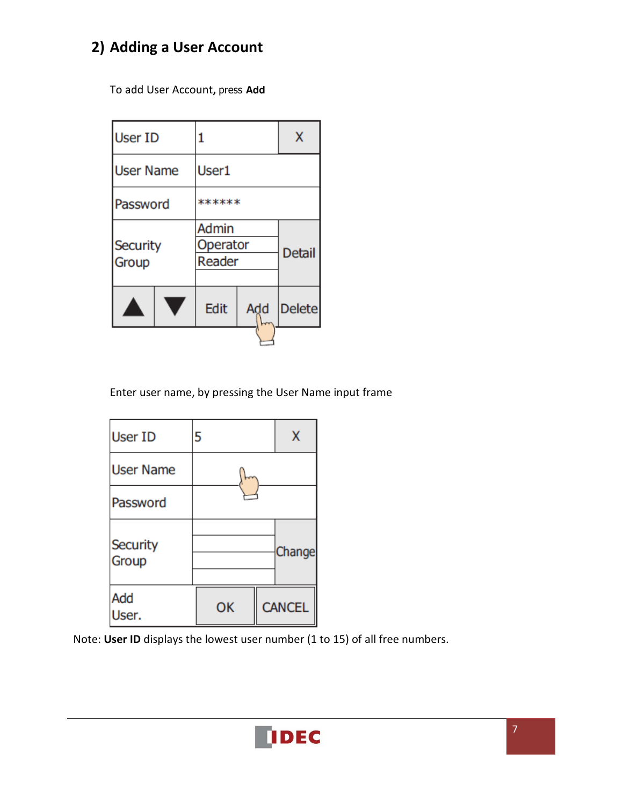## **2) Adding a User Account**

To add User Account**,** press **Add** 

| <b>User ID</b>    |          |                             | x      |               |  |
|-------------------|----------|-----------------------------|--------|---------------|--|
| <b>User Name</b>  |          | User1                       |        |               |  |
|                   | Password |                             | ****** |               |  |
| Security<br>Group |          | Admin<br>Operator<br>Reader |        | <b>Detail</b> |  |
|                   |          | Edit<br>Add                 |        | <b>Delete</b> |  |
|                   |          |                             |        |               |  |

Enter user name, by pressing the User Name input frame

| <b>User ID</b>    | 5  | x             |
|-------------------|----|---------------|
| <b>User Name</b>  |    |               |
| Password          |    |               |
| Security<br>Group |    | Change        |
| Add<br>Jser.      | ок | <b>CANCEL</b> |

Note: **User ID** displays the lowest user number (1 to 15) of all free numbers.

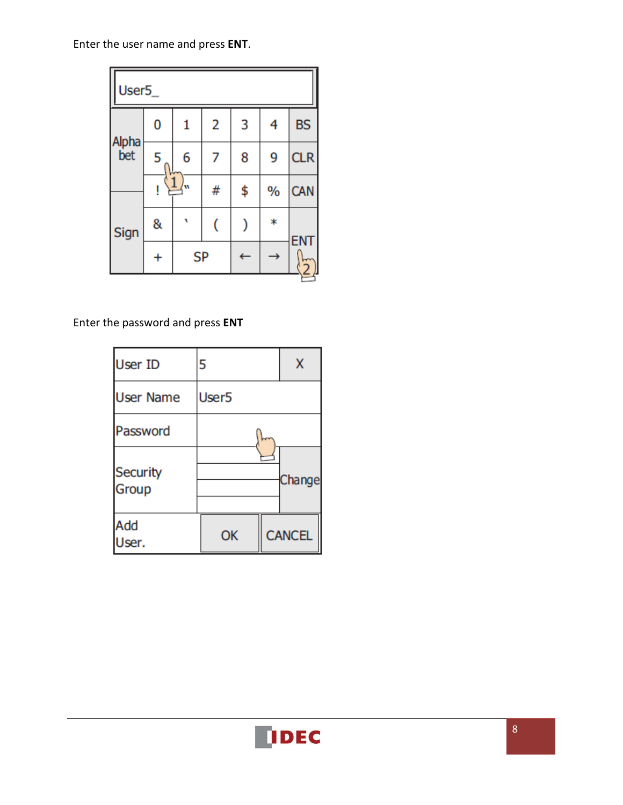Enter the user name and press **ENT**.

| User5        |   |           |   |    |               |            |
|--------------|---|-----------|---|----|---------------|------------|
| Alpha<br>bet | 0 | 1         | 2 | 3  | 4             | <b>BS</b>  |
|              | 5 | 6         | 7 | 8  | 9             | <b>CLR</b> |
|              | ļ | 1<br>W    | # | \$ | $\frac{0}{0}$ | CAN        |
| Sign         | & | ١         |   |    | *             |            |
|              |   | <b>SP</b> |   |    |               | <b>EN</b>  |

Enter the password and press **ENT** 

| User ID           | 5                 | х             |
|-------------------|-------------------|---------------|
| <b>User Name</b>  | User <sub>5</sub> |               |
| Password          |                   |               |
| Security<br>Group |                   | Change        |
| Add<br>User.      | OK                | <b>CANCEL</b> |

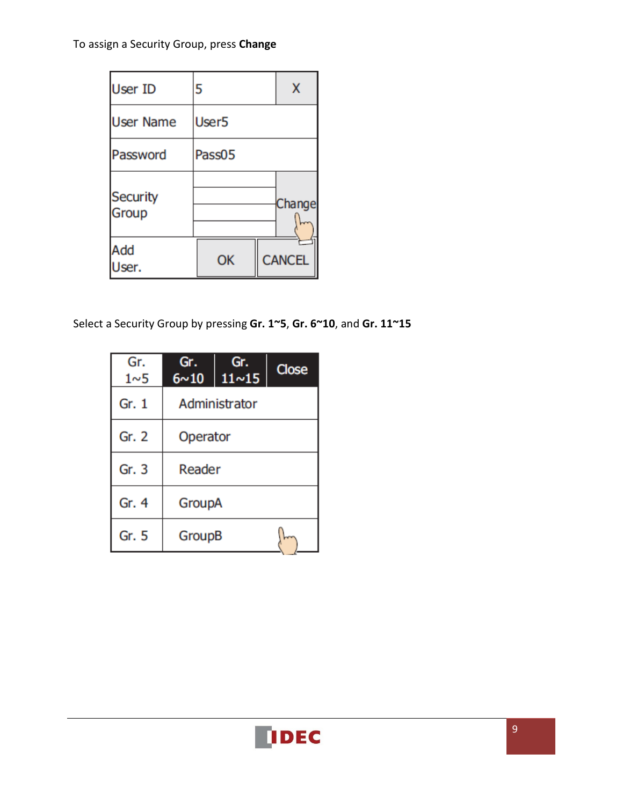To assign a Security Group, press **Change**

| <b>User ID</b>           | 5                 | х             |
|--------------------------|-------------------|---------------|
| <b>User Name</b>         | User <sub>5</sub> |               |
| Password                 | Pass05            |               |
| <b>Security</b><br>Group |                   | Change        |
| Add<br>Jser.             | ОК                | <b>CANCEL</b> |

Select a Security Group by pressing **Gr. 1~5**, **Gr. 6~10**, and **Gr. 11~15** 

| Gr.<br>1 <sub>~</sub> 5 | Gr.<br>$6 \sim 10$ | Gr.<br>11~15 | <b>Close</b> |  |
|-------------------------|--------------------|--------------|--------------|--|
| Gr. 1                   | Administrator      |              |              |  |
| Gr. 2                   | Operator           |              |              |  |
| Gr.3                    | Reader             |              |              |  |
| Gr.4                    | GroupA             |              |              |  |
| Gr. 5                   | GroupB             |              |              |  |

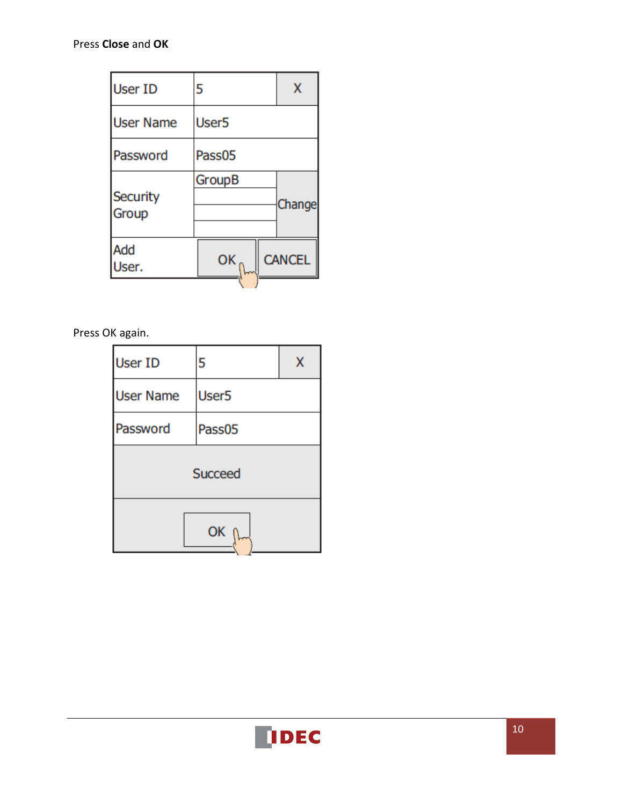| <b>User ID</b>           | 5                 | x             |
|--------------------------|-------------------|---------------|
| <b>User Name</b>         | User <sub>5</sub> |               |
| Password                 | Pass05            |               |
| <b>Security</b><br>Group | GroupB            | Change        |
| Add<br>Jser.             | ОΚ                | <b>CANCEL</b> |

Press OK again.

| <b>User ID</b><br>5 |                   | x |  |  |
|---------------------|-------------------|---|--|--|
| <b>User Name</b>    | User <sub>5</sub> |   |  |  |
| Password            | Pass05            |   |  |  |
| <b>Succeed</b>      |                   |   |  |  |
| OK                  |                   |   |  |  |

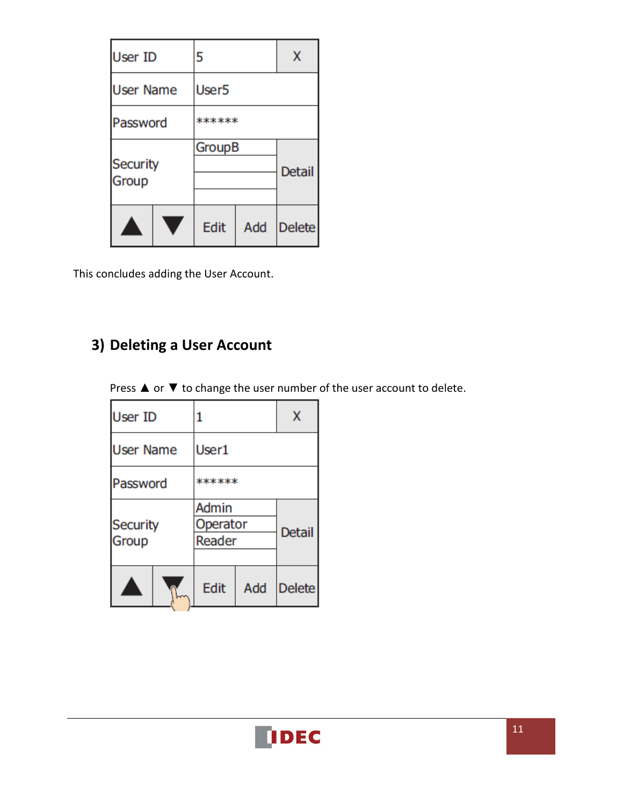| <b>User ID</b>    | 5                 |     | x             |  |
|-------------------|-------------------|-----|---------------|--|
| <b>User Name</b>  | User <sub>5</sub> |     |               |  |
| Password          | ******            |     |               |  |
| Security<br>Group | <b>GroupB</b>     |     | <b>Detail</b> |  |
|                   | Edit              | Add | <b>Delete</b> |  |

This concludes adding the User Account.

# **3) Deleting a User Account**

Press ▲ or ▼ to change the user number of the user account to delete.

| <b>User ID</b>    |  |                             |     | х             |
|-------------------|--|-----------------------------|-----|---------------|
| <b>User Name</b>  |  | User1                       |     |               |
| Password          |  | ******                      |     |               |
| Security<br>Group |  | Admin<br>Operator<br>Reader |     | <b>Detail</b> |
|                   |  | Edit                        | Add | <b>Delete</b> |